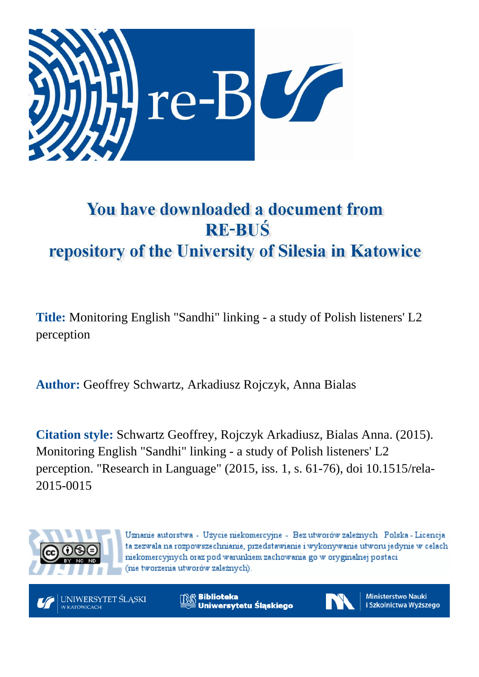

# You have downloaded a document from **RE-BUŚ** repository of the University of Silesia in Katowice

**Title:** Monitoring English "Sandhi" linking - a study of Polish listeners' L2 perception

**Author:** Geoffrey Schwartz, Arkadiusz Rojczyk, Anna Bialas

**Citation style:** Schwartz Geoffrey, Rojczyk Arkadiusz, Bialas Anna. (2015). Monitoring English "Sandhi" linking - a study of Polish listeners' L2 perception. "Research in Language" (2015, iss. 1, s. 61-76), doi 10.1515/rela-2015-0015



Uznanie autorstwa - Użycie niekomercyjne - Bez utworów zależnych Polska - Licencja ta zezwala na rozpowszechnianie, przedstawianie i wykonywanie utworu jedynie w celach niekomercyjnych oraz pod warunkiem zachowania go w oryginalnej postaci (nie tworzenia utworów zależnych).



**Biblioteka** Uniwersytetu Śląskiego



**Ministerstwo Nauki** i Szkolnictwa Wyższego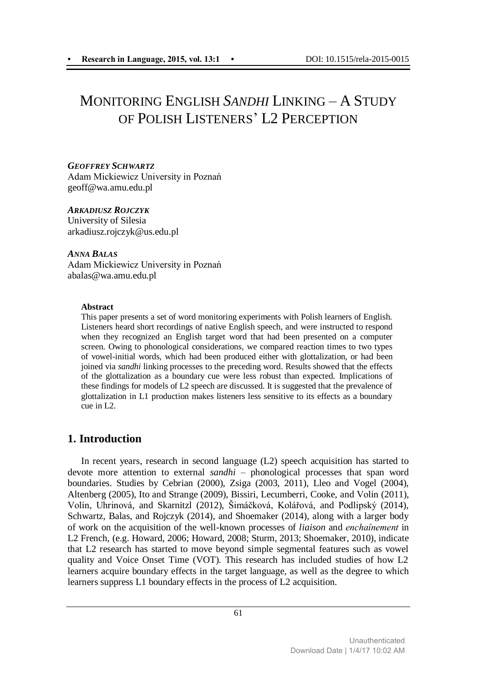## MONITORING ENGLISH *SANDHI* LINKING – A STUDY OF POLISH LISTENERS' L2 PERCEPTION

*GEOFFREY SCHWARTZ* Adam Mickiewicz University in Poznań geoff@wa.amu.edu.pl

#### *ARKADIUSZ ROJCZYK*

University of Silesia arkadiusz.rojczyk@us.edu.pl

*ANNA BALAS* Adam Mickiewicz University in Poznań abalas@wa.amu.edu.pl

#### **Abstract**

This paper presents a set of word monitoring experiments with Polish learners of English. Listeners heard short recordings of native English speech, and were instructed to respond when they recognized an English target word that had been presented on a computer screen. Owing to phonological considerations, we compared reaction times to two types of vowel-initial words, which had been produced either with glottalization, or had been joined via *sandhi* linking processes to the preceding word. Results showed that the effects of the glottalization as a boundary cue were less robust than expected. Implications of these findings for models of L2 speech are discussed. It is suggested that the prevalence of glottalization in L1 production makes listeners less sensitive to its effects as a boundary cue in L2.

### **1. Introduction**

In recent years, research in second language (L2) speech acquisition has started to devote more attention to external *sandhi* – phonological processes that span word boundaries. Studies by Cebrian (2000), Zsiga (2003, 2011), Lleo and Vogel (2004), Altenberg (2005), Ito and Strange (2009), Bissiri, Lecumberri, Cooke, and Volín (2011), Volín, Uhrinová, and Skarnitzl (2012), Šimáčková, Kolářová, and Podlipský (2014), Schwartz, Balas, and Rojczyk (2014), and Shoemaker (2014), along with a larger body of work on the acquisition of the well-known processes of *liaison* and *enchaînement* in L2 French, (e.g. Howard, 2006; Howard, 2008; Sturm, 2013; Shoemaker, 2010), indicate that L2 research has started to move beyond simple segmental features such as vowel quality and Voice Onset Time (VOT). This research has included studies of how L2 learners acquire boundary effects in the target language, as well as the degree to which learners suppress L1 boundary effects in the process of L2 acquisition.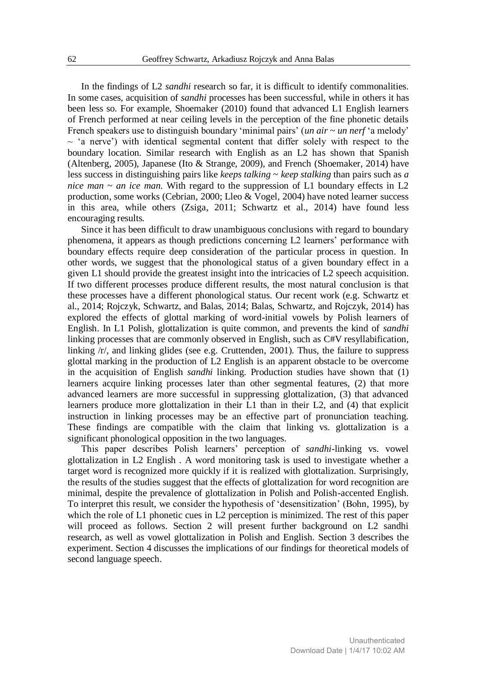In the findings of L2 *sandhi* research so far, it is difficult to identify commonalities. In some cases, acquisition of *sandhi* processes has been successful, while in others it has been less so. For example, Shoemaker (2010) found that advanced L1 English learners of French performed at near ceiling levels in the perception of the fine phonetic details French speakers use to distinguish boundary 'minimal pairs' (*un air ~ un nerf* 'a melody'  $\sim$  'a nerve') with identical segmental content that differ solely with respect to the boundary location. Similar research with English as an L2 has shown that Spanish (Altenberg, 2005), Japanese (Ito & Strange, 2009), and French (Shoemaker, 2014) have less success in distinguishing pairs like *keeps talking* ~ *keep stalking* than pairs such as *a nice man ~ an ice man*. With regard to the suppression of L1 boundary effects in L2 production, some works (Cebrian, 2000; Lleo & Vogel, 2004) have noted learner success in this area, while others (Zsiga, 2011; Schwartz et al., 2014) have found less encouraging results.

Since it has been difficult to draw unambiguous conclusions with regard to boundary phenomena, it appears as though predictions concerning L2 learners' performance with boundary effects require deep consideration of the particular process in question. In other words, we suggest that the phonological status of a given boundary effect in a given L1 should provide the greatest insight into the intricacies of L2 speech acquisition. If two different processes produce different results, the most natural conclusion is that these processes have a different phonological status. Our recent work (e.g. Schwartz et al., 2014; Rojczyk, Schwartz, and Balas, 2014; Balas, Schwartz, and Rojczyk, 2014) has explored the effects of glottal marking of word-initial vowels by Polish learners of English. In L1 Polish, glottalization is quite common, and prevents the kind of *sandhi* linking processes that are commonly observed in English, such as C#V resyllabification, linking  $/r/$ , and linking glides (see e.g. Cruttenden, 2001). Thus, the failure to suppress glottal marking in the production of L2 English is an apparent obstacle to be overcome in the acquisition of English *sandhi* linking. Production studies have shown that (1) learners acquire linking processes later than other segmental features, (2) that more advanced learners are more successful in suppressing glottalization, (3) that advanced learners produce more glottalization in their L1 than in their L2, and (4) that explicit instruction in linking processes may be an effective part of pronunciation teaching. These findings are compatible with the claim that linking vs. glottalization is a significant phonological opposition in the two languages.

This paper describes Polish learners' perception of *sandhi*-linking vs. vowel glottalization in L2 English . A word monitoring task is used to investigate whether a target word is recognized more quickly if it is realized with glottalization. Surprisingly, the results of the studies suggest that the effects of glottalization for word recognition are minimal, despite the prevalence of glottalization in Polish and Polish-accented English. To interpret this result, we consider the hypothesis of 'desensitization' (Bohn, 1995), by which the role of L1 phonetic cues in L2 perception is minimized. The rest of this paper will proceed as follows. Section 2 will present further background on L2 sandhi research, as well as vowel glottalization in Polish and English. Section 3 describes the experiment. Section 4 discusses the implications of our findings for theoretical models of second language speech.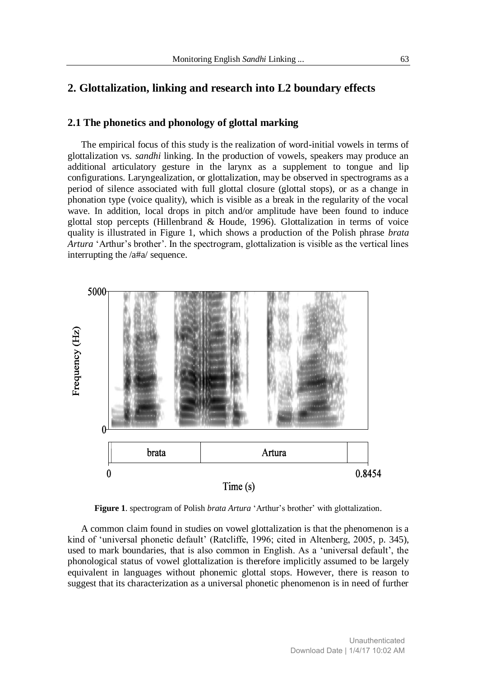#### **2. Glottalization, linking and research into L2 boundary effects**

#### **2.1 The phonetics and phonology of glottal marking**

The empirical focus of this study is the realization of word-initial vowels in terms of glottalization vs. *sandhi* linking. In the production of vowels, speakers may produce an additional articulatory gesture in the larynx as a supplement to tongue and lip configurations. Laryngealization, or glottalization, may be observed in spectrograms as a period of silence associated with full glottal closure (glottal stops), or as a change in phonation type (voice quality), which is visible as a break in the regularity of the vocal wave. In addition, local drops in pitch and/or amplitude have been found to induce glottal stop percepts (Hillenbrand & Houde, 1996). Glottalization in terms of voice quality is illustrated in Figure 1, which shows a production of the Polish phrase *brata Artura* 'Arthur's brother'. In the spectrogram, glottalization is visible as the vertical lines interrupting the /a#a/ sequence.



**Figure 1**. spectrogram of Polish *brata Artura* 'Arthur's brother' with glottalization.

A common claim found in studies on vowel glottalization is that the phenomenon is a kind of 'universal phonetic default' (Ratcliffe, 1996; cited in Altenberg, 2005, p. 345), used to mark boundaries, that is also common in English. As a 'universal default', the phonological status of vowel glottalization is therefore implicitly assumed to be largely equivalent in languages without phonemic glottal stops. However, there is reason to suggest that its characterization as a universal phonetic phenomenon is in need of further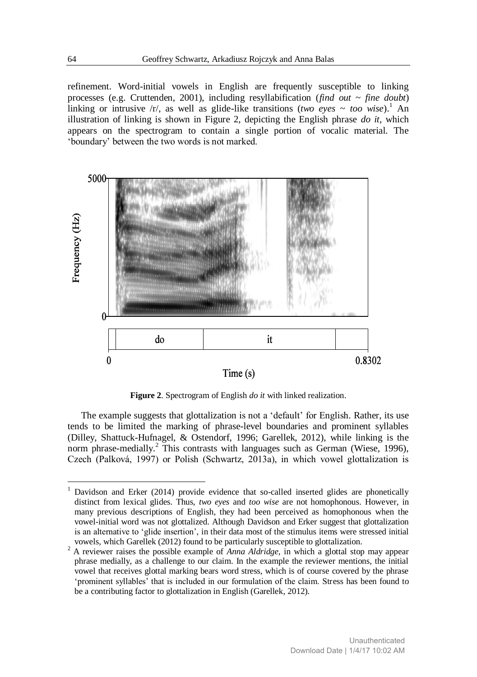refinement. Word-initial vowels in English are frequently susceptible to linking processes (e.g. Cruttenden, 2001), including resyllabification (*find out ~ fine doubt*) linking or intrusive  $\langle r \rangle$ , as well as glide-like transitions (*two eyes* ~ *too wise*).<sup>1</sup> An illustration of linking is shown in Figure 2, depicting the English phrase *do it*, which appears on the spectrogram to contain a single portion of vocalic material. The 'boundary' between the two words is not marked.



**Figure 2**. Spectrogram of English *do it* with linked realization.

The example suggests that glottalization is not a 'default' for English. Rather, its use tends to be limited the marking of phrase-level boundaries and prominent syllables (Dilley, Shattuck-Hufnagel, & Ostendorf, 1996; Garellek, 2012), while linking is the norm phrase-medially.<sup>2</sup> This contrasts with languages such as German (Wiese, 1996), Czech (Palková, 1997) or Polish (Schwartz, 2013a), in which vowel glottalization is

1

<sup>1</sup> Davidson and Erker (2014) provide evidence that so-called inserted glides are phonetically distinct from lexical glides. Thus, *two eyes* and *too wise* are not homophonous. However, in many previous descriptions of English, they had been perceived as homophonous when the vowel-initial word was not glottalized. Although Davidson and Erker suggest that glottalization is an alternative to 'glide insertion', in their data most of the stimulus items were stressed initial vowels, which Garellek (2012) found to be particularly susceptible to glottalization.

<sup>&</sup>lt;sup>2</sup> A reviewer raises the possible example of *Anna Aldridge*, in which a glottal stop may appear phrase medially, as a challenge to our claim. In the example the reviewer mentions, the initial vowel that receives glottal marking bears word stress, which is of course covered by the phrase 'prominent syllables' that is included in our formulation of the claim. Stress has been found to be a contributing factor to glottalization in English (Garellek, 2012).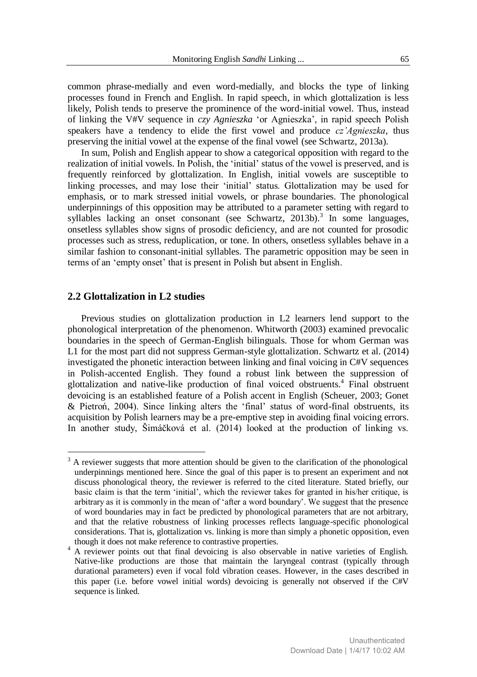common phrase-medially and even word-medially, and blocks the type of linking processes found in French and English. In rapid speech, in which glottalization is less likely, Polish tends to preserve the prominence of the word-initial vowel. Thus, instead of linking the V#V sequence in *czy Agnieszka* 'or Agnieszka', in rapid speech Polish speakers have a tendency to elide the first vowel and produce *cz'Agnieszka*, thus preserving the initial vowel at the expense of the final vowel (see Schwartz, 2013a).

In sum, Polish and English appear to show a categorical opposition with regard to the realization of initial vowels. In Polish, the 'initial' status of the vowel is preserved, and is frequently reinforced by glottalization. In English, initial vowels are susceptible to linking processes, and may lose their 'initial' status. Glottalization may be used for emphasis, or to mark stressed initial vowels, or phrase boundaries. The phonological underpinnings of this opposition may be attributed to a parameter setting with regard to syllables lacking an onset consonant (see Schwartz, 2013b).<sup>3</sup> In some languages, onsetless syllables show signs of prosodic deficiency, and are not counted for prosodic processes such as stress, reduplication, or tone. In others, onsetless syllables behave in a similar fashion to consonant-initial syllables. The parametric opposition may be seen in terms of an 'empty onset' that is present in Polish but absent in English.

#### **2.2 Glottalization in L2 studies**

-

Previous studies on glottalization production in L2 learners lend support to the phonological interpretation of the phenomenon. Whitworth (2003) examined prevocalic boundaries in the speech of German-English bilinguals. Those for whom German was L1 for the most part did not suppress German-style glottalization. Schwartz et al. (2014) investigated the phonetic interaction between linking and final voicing in C#V sequences in Polish-accented English. They found a robust link between the suppression of glottalization and native-like production of final voiced obstruents.<sup>4</sup> Final obstruent devoicing is an established feature of a Polish accent in English (Scheuer, 2003; Gonet & Pietroń, 2004). Since linking alters the 'final' status of word-final obstruents, its acquisition by Polish learners may be a pre-emptive step in avoiding final voicing errors. In another study, Šimáčková et al. (2014) looked at the production of linking vs.

<sup>&</sup>lt;sup>3</sup> A reviewer suggests that more attention should be given to the clarification of the phonological underpinnings mentioned here. Since the goal of this paper is to present an experiment and not discuss phonological theory, the reviewer is referred to the cited literature. Stated briefly, our basic claim is that the term 'initial', which the reviewer takes for granted in his/her critique, is arbitrary as it is commonly in the mean of 'after a word boundary'. We suggest that the presence of word boundaries may in fact be predicted by phonological parameters that are not arbitrary, and that the relative robustness of linking processes reflects language-specific phonological considerations. That is, glottalization vs. linking is more than simply a phonetic opposition, even though it does not make reference to contrastive properties.

<sup>4</sup> A reviewer points out that final devoicing is also observable in native varieties of English. Native-like productions are those that maintain the laryngeal contrast (typically through durational parameters) even if vocal fold vibration ceases. However, in the cases described in this paper (i.e. before vowel initial words) devoicing is generally not observed if the C#V sequence is linked.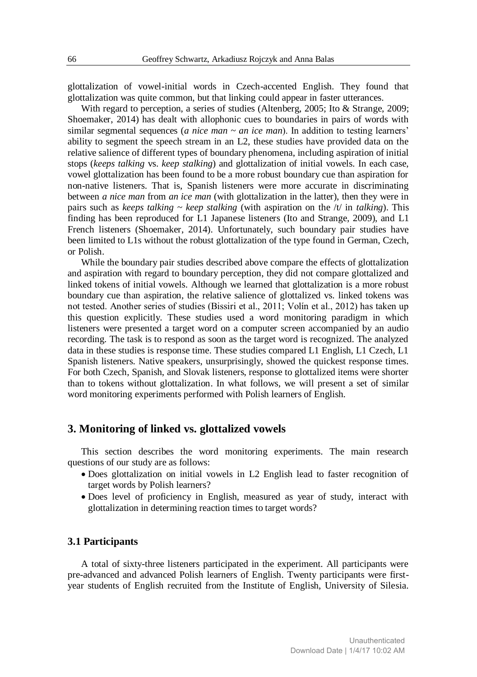glottalization of vowel-initial words in Czech-accented English. They found that glottalization was quite common, but that linking could appear in faster utterances.

With regard to perception, a series of studies (Altenberg, 2005; Ito & Strange, 2009; Shoemaker, 2014) has dealt with allophonic cues to boundaries in pairs of words with similar segmental sequences (*a nice man ~ an ice man*). In addition to testing learners' ability to segment the speech stream in an L2, these studies have provided data on the relative salience of different types of boundary phenomena, including aspiration of initial stops (*keeps talking* vs. *keep stalking*) and glottalization of initial vowels. In each case, vowel glottalization has been found to be a more robust boundary cue than aspiration for non-native listeners. That is, Spanish listeners were more accurate in discriminating between *a nice man* from *an ice man* (with glottalization in the latter), then they were in pairs such as *keeps talking ~ keep stalking* (with aspiration on the /t/ in *talking*). This finding has been reproduced for L1 Japanese listeners (Ito and Strange, 2009), and L1 French listeners (Shoemaker, 2014). Unfortunately, such boundary pair studies have been limited to L1s without the robust glottalization of the type found in German, Czech, or Polish.

While the boundary pair studies described above compare the effects of glottalization and aspiration with regard to boundary perception, they did not compare glottalized and linked tokens of initial vowels. Although we learned that glottalization is a more robust boundary cue than aspiration, the relative salience of glottalized vs. linked tokens was not tested. Another series of studies (Bissiri et al., 2011; Volín et al., 2012) has taken up this question explicitly. These studies used a word monitoring paradigm in which listeners were presented a target word on a computer screen accompanied by an audio recording. The task is to respond as soon as the target word is recognized. The analyzed data in these studies is response time. These studies compared L1 English, L1 Czech, L1 Spanish listeners. Native speakers, unsurprisingly, showed the quickest response times. For both Czech, Spanish, and Slovak listeners, response to glottalized items were shorter than to tokens without glottalization. In what follows, we will present a set of similar word monitoring experiments performed with Polish learners of English.

#### **3. Monitoring of linked vs. glottalized vowels**

This section describes the word monitoring experiments. The main research questions of our study are as follows:

- Does glottalization on initial vowels in L2 English lead to faster recognition of target words by Polish learners?
- Does level of proficiency in English, measured as year of study, interact with glottalization in determining reaction times to target words?

#### **3.1 Participants**

A total of sixty-three listeners participated in the experiment. All participants were pre-advanced and advanced Polish learners of English. Twenty participants were firstyear students of English recruited from the Institute of English, University of Silesia.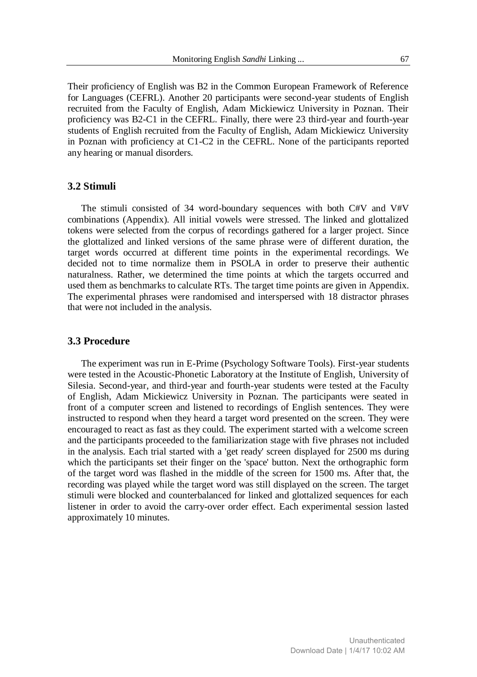Their proficiency of English was B2 in the Common European Framework of Reference for Languages (CEFRL). Another 20 participants were second-year students of English recruited from the Faculty of English, Adam Mickiewicz University in Poznan. Their proficiency was B2-C1 in the CEFRL. Finally, there were 23 third-year and fourth-year students of English recruited from the Faculty of English, Adam Mickiewicz University in Poznan with proficiency at C1-C2 in the CEFRL. None of the participants reported any hearing or manual disorders.

#### **3.2 Stimuli**

The stimuli consisted of 34 word-boundary sequences with both C#V and V#V combinations (Appendix). All initial vowels were stressed. The linked and glottalized tokens were selected from the corpus of recordings gathered for a larger project. Since the glottalized and linked versions of the same phrase were of different duration, the target words occurred at different time points in the experimental recordings. We decided not to time normalize them in PSOLA in order to preserve their authentic naturalness. Rather, we determined the time points at which the targets occurred and used them as benchmarks to calculate RTs. The target time points are given in Appendix. The experimental phrases were randomised and interspersed with 18 distractor phrases that were not included in the analysis.

#### **3.3 Procedure**

The experiment was run in E-Prime (Psychology Software Tools). First-year students were tested in the Acoustic-Phonetic Laboratory at the Institute of English, University of Silesia. Second-year, and third-year and fourth-year students were tested at the Faculty of English, Adam Mickiewicz University in Poznan. The participants were seated in front of a computer screen and listened to recordings of English sentences. They were instructed to respond when they heard a target word presented on the screen. They were encouraged to react as fast as they could. The experiment started with a welcome screen and the participants proceeded to the familiarization stage with five phrases not included in the analysis. Each trial started with a 'get ready' screen displayed for 2500 ms during which the participants set their finger on the 'space' button. Next the orthographic form of the target word was flashed in the middle of the screen for 1500 ms. After that, the recording was played while the target word was still displayed on the screen. The target stimuli were blocked and counterbalanced for linked and glottalized sequences for each listener in order to avoid the carry-over order effect. Each experimental session lasted approximately 10 minutes.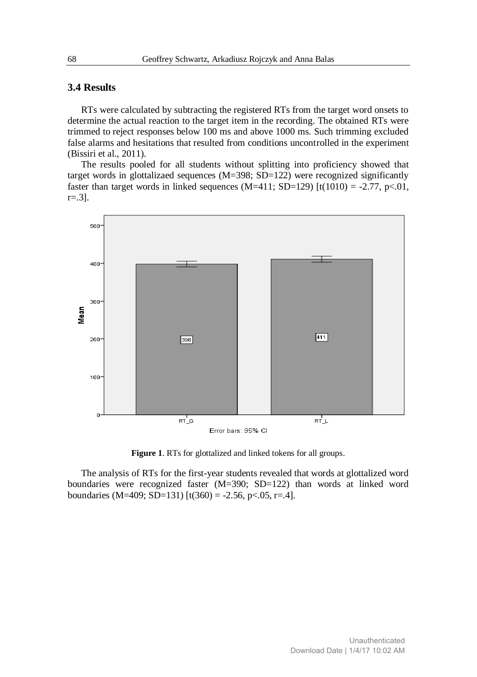#### **3.4 Results**

RTs were calculated by subtracting the registered RTs from the target word onsets to determine the actual reaction to the target item in the recording. The obtained RTs were trimmed to reject responses below 100 ms and above 1000 ms. Such trimming excluded false alarms and hesitations that resulted from conditions uncontrolled in the experiment (Bissiri et al., 2011).

The results pooled for all students without splitting into proficiency showed that target words in glottalizaed sequences (M=398; SD=122) were recognized significantly faster than target words in linked sequences (M=411; SD=129) [t(1010) = -2.77, p<.01, r=.3].



**Figure 1**. RTs for glottalized and linked tokens for all groups.

The analysis of RTs for the first-year students revealed that words at glottalized word boundaries were recognized faster (M=390; SD=122) than words at linked word boundaries (M=409; SD=131) [t(360) = -2.56, p < 05, r = 4].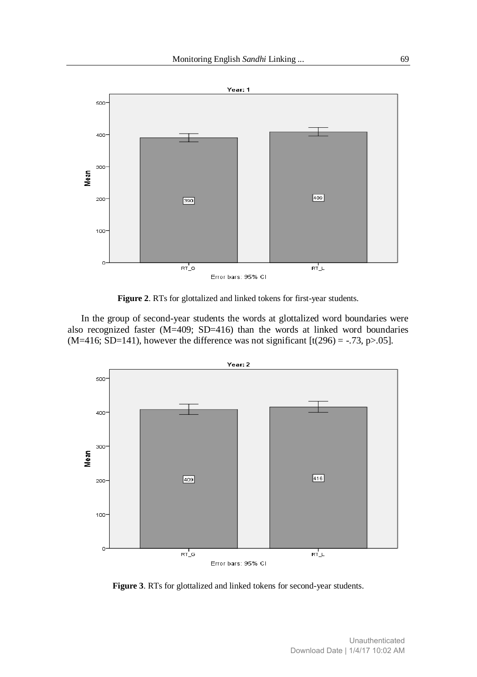

**Figure 2**. RTs for glottalized and linked tokens for first-year students.

In the group of second-year students the words at glottalized word boundaries were also recognized faster  $(M=409; SD=416)$  than the words at linked word boundaries (M=416; SD=141), however the difference was not significant [t(296) = -.73, p>.05].



**Figure 3**. RTs for glottalized and linked tokens for second-year students.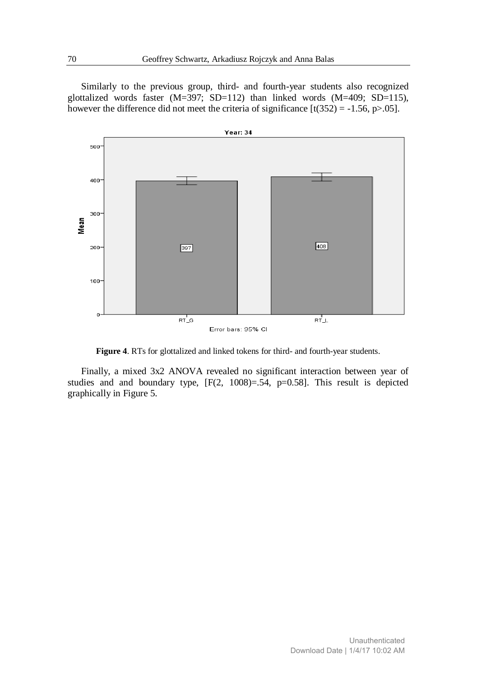Similarly to the previous group, third- and fourth-year students also recognized glottalized words faster (M=397; SD=112) than linked words (M=409; SD=115), however the difference did not meet the criteria of significance  $[t(352) = -1.56, p > 0.05]$ .



**Figure 4**. RTs for glottalized and linked tokens for third- and fourth-year students.

Finally, a mixed 3x2 ANOVA revealed no significant interaction between year of studies and and boundary type, [F(2, 1008)=.54, p=0.58]. This result is depicted graphically in Figure 5.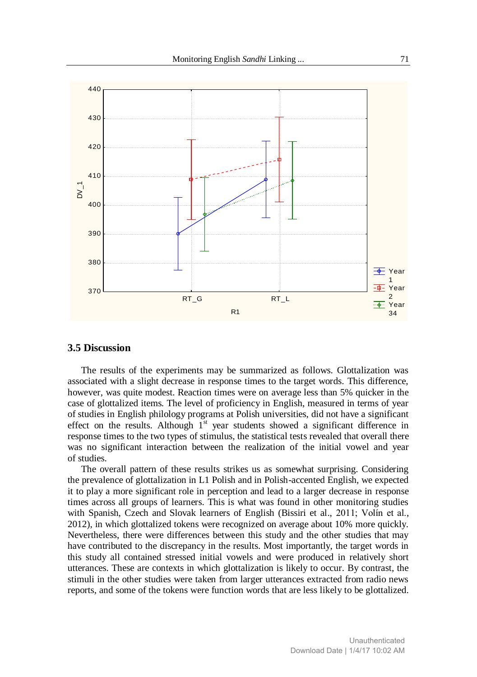

#### **3.5 Discussion**

The results of the experiments may be summarized as follows. Glottalization was associated with a slight decrease in response times to the target words. This difference, however, was quite modest. Reaction times were on average less than 5% quicker in the case of glottalized items. The level of proficiency in English, measured in terms of year of studies in English philology programs at Polish universities, did not have a significant effect on the results. Although  $1<sup>st</sup>$  year students showed a significant difference in response times to the two types of stimulus, the statistical tests revealed that overall there was no significant interaction between the realization of the initial vowel and year of studies.

The overall pattern of these results strikes us as somewhat surprising. Considering the prevalence of glottalization in L1 Polish and in Polish-accented English, we expected it to play a more significant role in perception and lead to a larger decrease in response times across all groups of learners. This is what was found in other monitoring studies with Spanish, Czech and Slovak learners of English (Bissiri et al., 2011; Volín et al., 2012), in which glottalized tokens were recognized on average about 10% more quickly. Nevertheless, there were differences between this study and the other studies that may have contributed to the discrepancy in the results. Most importantly, the target words in this study all contained stressed initial vowels and were produced in relatively short utterances. These are contexts in which glottalization is likely to occur. By contrast, the stimuli in the other studies were taken from larger utterances extracted from radio news reports, and some of the tokens were function words that are less likely to be glottalized.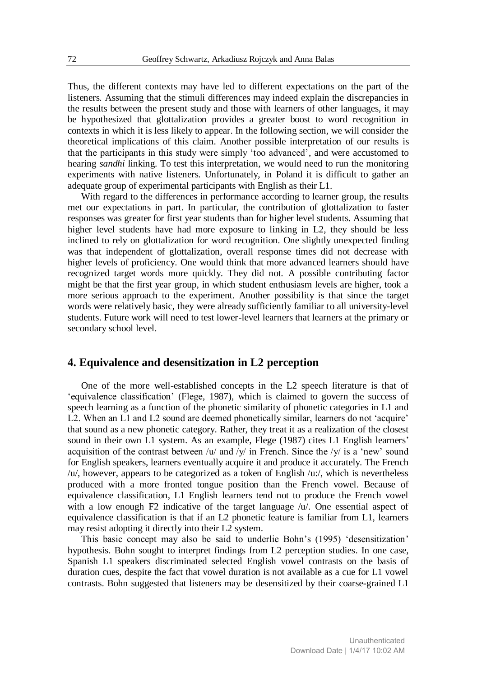Thus, the different contexts may have led to different expectations on the part of the listeners. Assuming that the stimuli differences may indeed explain the discrepancies in the results between the present study and those with learners of other languages, it may be hypothesized that glottalization provides a greater boost to word recognition in contexts in which it is less likely to appear. In the following section, we will consider the theoretical implications of this claim. Another possible interpretation of our results is that the participants in this study were simply 'too advanced', and were accustomed to hearing *sandhi* linking. To test this interpretation, we would need to run the monitoring experiments with native listeners. Unfortunately, in Poland it is difficult to gather an adequate group of experimental participants with English as their L1.

With regard to the differences in performance according to learner group, the results met our expectations in part. In particular, the contribution of glottalization to faster responses was greater for first year students than for higher level students. Assuming that higher level students have had more exposure to linking in L2, they should be less inclined to rely on glottalization for word recognition. One slightly unexpected finding was that independent of glottalization, overall response times did not decrease with higher levels of proficiency. One would think that more advanced learners should have recognized target words more quickly. They did not. A possible contributing factor might be that the first year group, in which student enthusiasm levels are higher, took a more serious approach to the experiment. Another possibility is that since the target words were relatively basic, they were already sufficiently familiar to all university-level students. Future work will need to test lower-level learners that learners at the primary or secondary school level.

#### **4. Equivalence and desensitization in L2 perception**

One of the more well-established concepts in the L2 speech literature is that of 'equivalence classification' (Flege, 1987), which is claimed to govern the success of speech learning as a function of the phonetic similarity of phonetic categories in L1 and L2. When an L1 and L2 sound are deemed phonetically similar, learners do not 'acquire' that sound as a new phonetic category. Rather, they treat it as a realization of the closest sound in their own L1 system. As an example, Flege (1987) cites L1 English learners' acquisition of the contrast between /u/ and /v/ in French. Since the /v/ is a 'new' sound for English speakers, learners eventually acquire it and produce it accurately. The French /u/, however, appears to be categorized as a token of English /u:/, which is nevertheless produced with a more fronted tongue position than the French vowel. Because of equivalence classification, L1 English learners tend not to produce the French vowel with a low enough F2 indicative of the target language  $/u'$ . One essential aspect of equivalence classification is that if an L2 phonetic feature is familiar from L1, learners may resist adopting it directly into their L2 system.

This basic concept may also be said to underlie Bohn's (1995) 'desensitization' hypothesis. Bohn sought to interpret findings from L2 perception studies. In one case, Spanish L1 speakers discriminated selected English vowel contrasts on the basis of duration cues, despite the fact that vowel duration is not available as a cue for L1 vowel contrasts. Bohn suggested that listeners may be desensitized by their coarse-grained L1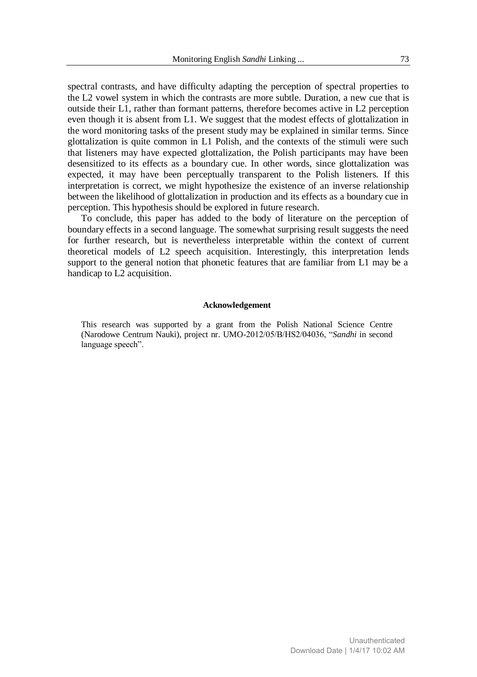spectral contrasts, and have difficulty adapting the perception of spectral properties to the L2 vowel system in which the contrasts are more subtle. Duration, a new cue that is outside their L1, rather than formant patterns, therefore becomes active in L2 perception even though it is absent from L1. We suggest that the modest effects of glottalization in the word monitoring tasks of the present study may be explained in similar terms. Since glottalization is quite common in L1 Polish, and the contexts of the stimuli were such that listeners may have expected glottalization, the Polish participants may have been desensitized to its effects as a boundary cue. In other words, since glottalization was expected, it may have been perceptually transparent to the Polish listeners. If this interpretation is correct, we might hypothesize the existence of an inverse relationship between the likelihood of glottalization in production and its effects as a boundary cue in perception. This hypothesis should be explored in future research.

To conclude, this paper has added to the body of literature on the perception of boundary effects in a second language. The somewhat surprising result suggests the need for further research, but is nevertheless interpretable within the context of current theoretical models of L2 speech acquisition. Interestingly, this interpretation lends support to the general notion that phonetic features that are familiar from L1 may be a handicap to L2 acquisition.

#### **Acknowledgement**

This research was supported by a grant from the Polish National Science Centre (Narodowe Centrum Nauki), project nr. UMO-2012/05/B/HS2/04036, "*Sandhi* in second language speech".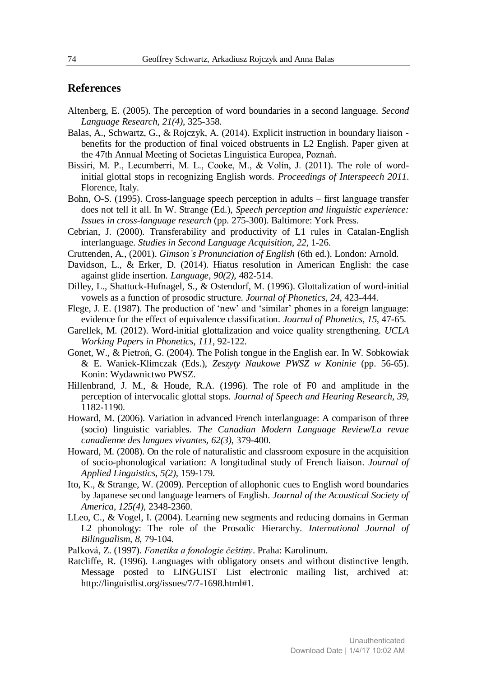#### **References**

- Altenberg, E. (2005). The perception of word boundaries in a second language. *Second Language Research, 21(4)*, 325-358.
- Balas, A., Schwartz, G., & Rojczyk, A. (2014). Explicit instruction in boundary liaison benefits for the production of final voiced obstruents in L2 English. Paper given at the 47th Annual Meeting of Societas Linguistica Europea, Poznań.
- Bissiri, M. P., Lecumberri, M. L., Cooke, M., & Volín, J. (2011). The role of wordinitial glottal stops in recognizing English words. *Proceedings of Interspeech 2011*. Florence, Italy.
- Bohn, O-S. (1995). Cross-language speech perception in adults first language transfer does not tell it all. In W. Strange (Ed.), *Speech perception and linguistic experience: Issues in cross-language research* (pp. 275-300). Baltimore: York Press.
- Cebrian, J. (2000). Transferability and productivity of L1 rules in Catalan-English interlanguage. *Studies in Second Language Acquisition, 22*, 1-26.
- Cruttenden, A., (2001). *Gimson's Pronunciation of English* (6th ed.). London: Arnold.
- Davidson, L., & Erker, D. (2014). Hiatus resolution in American English: the case against glide insertion. *Language, 90(2)*, 482-514.
- Dilley, L., Shattuck-Hufnagel, S., & Ostendorf, M. (1996). Glottalization of word-initial vowels as a function of prosodic structure. *Journal of Phonetics, 24*, 423-444.
- Flege, J. E. (1987). The production of 'new' and 'similar' phones in a foreign language: evidence for the effect of equivalence classification. *Journal of Phonetics, 15*, 47-65.
- Garellek, M. (2012). Word-initial glottalization and voice quality strengthening. *UCLA Working Papers in Phonetics, 111*, 92-122.
- Gonet, W., & Pietroń, G. (2004). The Polish tongue in the English ear. In W. Sobkowiak & E. Waniek-Klimczak (Eds.), *Zeszyty Naukowe PWSZ w Koninie* (pp. 56-65). Konin: Wydawnictwo PWSZ.
- Hillenbrand, J. M., & Houde, R.A. (1996). The role of F0 and amplitude in the perception of intervocalic glottal stops. *Journal of Speech and Hearing Research, 39*, 1182-1190.
- Howard, M. (2006). Variation in advanced French interlanguage: A comparison of three (socio) linguistic variables. *The Canadian Modern Language Review/La revue canadienne des langues vivantes, 62(3)*, 379-400.
- Howard, M. (2008). On the role of naturalistic and classroom exposure in the acquisition of socio-phonological variation: A longitudinal study of French liaison. *Journal of Applied Linguistics, 5(2)*, 159-179.
- Ito, K., & Strange, W. (2009). Perception of allophonic cues to English word boundaries by Japanese second language learners of English. *Journal of the Acoustical Society of America, 125(4)*, 2348-2360.
- LLeo, C., & Vogel, I. (2004). Learning new segments and reducing domains in German L2 phonology: The role of the Prosodic Hierarchy. *International Journal of Bilingualism, 8*, 79-104.
- Palková, Z. (1997). *Fonetika a fonologie češtiny*. Praha: Karolinum.
- Ratcliffe, R. (1996). Languages with obligatory onsets and without distinctive length. Message posted to LINGUIST List electronic mailing list, archived at: http://linguistlist.org/issues/7/7-1698.html#1.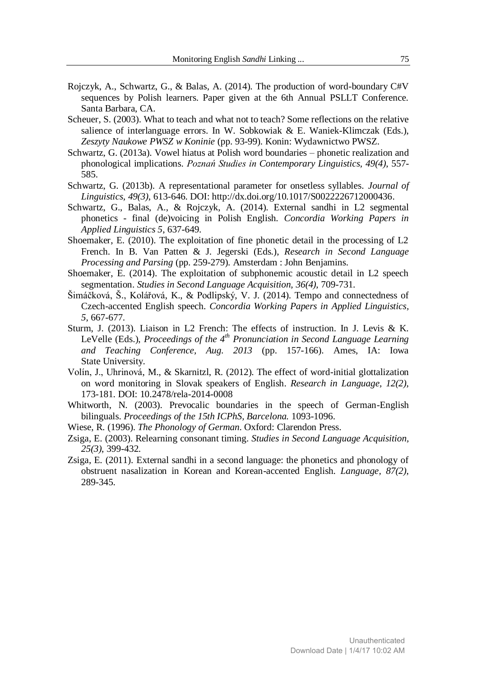- Rojczyk, A., Schwartz, G., & Balas, A. (2014). The production of word-boundary C#V sequences by Polish learners. Paper given at the 6th Annual PSLLT Conference. Santa Barbara, CA.
- Scheuer, S. (2003). What to teach and what not to teach? Some reflections on the relative salience of interlanguage errors. In W. Sobkowiak & E. Waniek-Klimczak (Eds.), *Zeszyty Naukowe PWSZ w Koninie* (pp. 93-99). Konin: Wydawnictwo PWSZ.
- Schwartz, G. (2013a). Vowel hiatus at Polish word boundaries phonetic realization and phonological implications. *Poznań Studies in Contemporary Linguistics, 49(4)*, 557- 585.
- Schwartz, G. (2013b). A representational parameter for onsetless syllables. *Journal of Linguistics, 49(3)*, 613-646. DOI: http://dx.doi.org/10.1017/S0022226712000436.
- Schwartz, G., Balas, A., & Rojczyk, A. (2014). External sandhi in L2 segmental phonetics - final (de)voicing in Polish English. *Concordia Working Papers in Applied Linguistics 5*, 637-649.
- Shoemaker, E. (2010). The exploitation of fine phonetic detail in the processing of L2 French. In B. Van Patten & J. Jegerski (Eds.), *Research in Second Language Processing and Parsing* (pp. 259-279). Amsterdam : John Benjamins.
- Shoemaker, E. (2014). The exploitation of subphonemic acoustic detail in L2 speech segmentation. *Studies in Second Language Acquisition, 36(4)*, 709-731.
- Šimáčková, Š., Kolářová, K., & Podlipský, V. J. (2014). Tempo and connectedness of Czech-accented English speech. *Concordia Working Papers in Applied Linguistics, 5*, 667-677.
- Sturm, J. (2013). Liaison in L2 French: The effects of instruction. In J. Levis & K. LeVelle (Eds.), *Proceedings of the 4th Pronunciation in Second Language Learning and Teaching Conference, Aug. 2013* (pp. 157-166). Ames, IA: Iowa State University.
- Volín, J., Uhrinová, M., & Skarnitzl, R. (2012). The effect of word-initial glottalization on word monitoring in Slovak speakers of English. *Research in Language, 12(2)*, 173-181. DOI: 10.2478/rela-2014-0008
- Whitworth, N. (2003). Prevocalic boundaries in the speech of German-English bilinguals. *Proceedings of the 15th ICPhS, Barcelona.* 1093-1096.
- Wiese, R. (1996). *The Phonology of German*. Oxford: Clarendon Press.
- Zsiga, E. (2003). Relearning consonant timing. *Studies in Second Language Acquisition, 25(3)*, 399-432.
- Zsiga, E. (2011). External sandhi in a second language: the phonetics and phonology of obstruent nasalization in Korean and Korean-accented English. *Language, 87(2)*, 289-345.